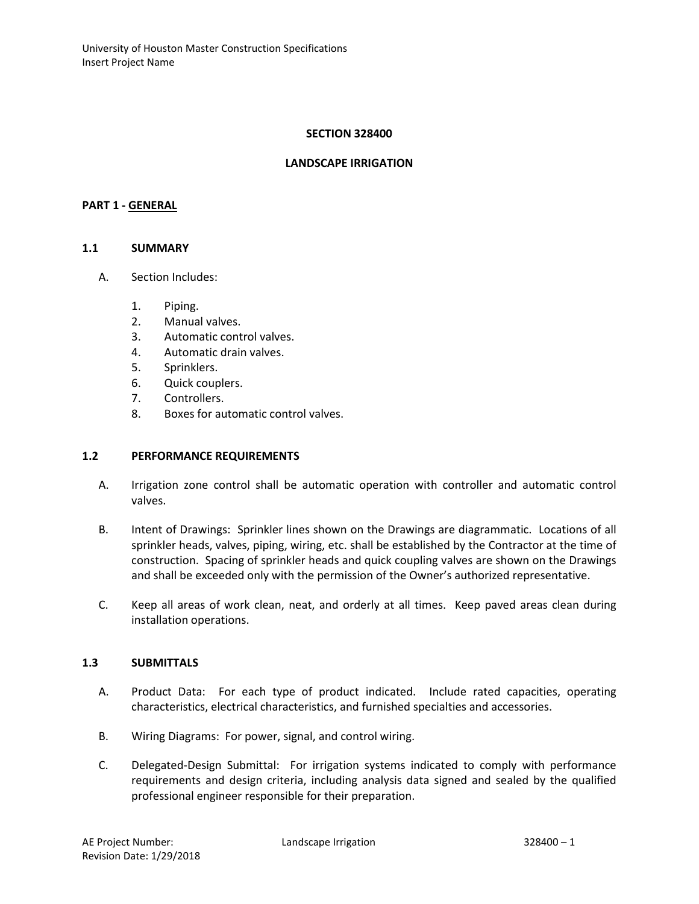#### **SECTION 328400**

#### **LANDSCAPE IRRIGATION**

#### **PART 1 - GENERAL**

#### **1.1 SUMMARY**

- A. Section Includes:
	- 1. Piping.
	- 2. Manual valves.
	- 3. Automatic control valves.
	- 4. Automatic drain valves.
	- 5. Sprinklers.
	- 6. Quick couplers.
	- 7. Controllers.
	- 8. Boxes for automatic control valves.

#### **1.2 PERFORMANCE REQUIREMENTS**

- A. Irrigation zone control shall be automatic operation with controller and automatic control valves.
- B. Intent of Drawings: Sprinkler lines shown on the Drawings are diagrammatic. Locations of all sprinkler heads, valves, piping, wiring, etc. shall be established by the Contractor at the time of construction. Spacing of sprinkler heads and quick coupling valves are shown on the Drawings and shall be exceeded only with the permission of the Owner's authorized representative.
- C. Keep all areas of work clean, neat, and orderly at all times. Keep paved areas clean during installation operations.

#### **1.3 SUBMITTALS**

- A. Product Data: For each type of product indicated. Include rated capacities, operating characteristics, electrical characteristics, and furnished specialties and accessories.
- B. Wiring Diagrams: For power, signal, and control wiring.
- C. Delegated-Design Submittal: For irrigation systems indicated to comply with performance requirements and design criteria, including analysis data signed and sealed by the qualified professional engineer responsible for their preparation.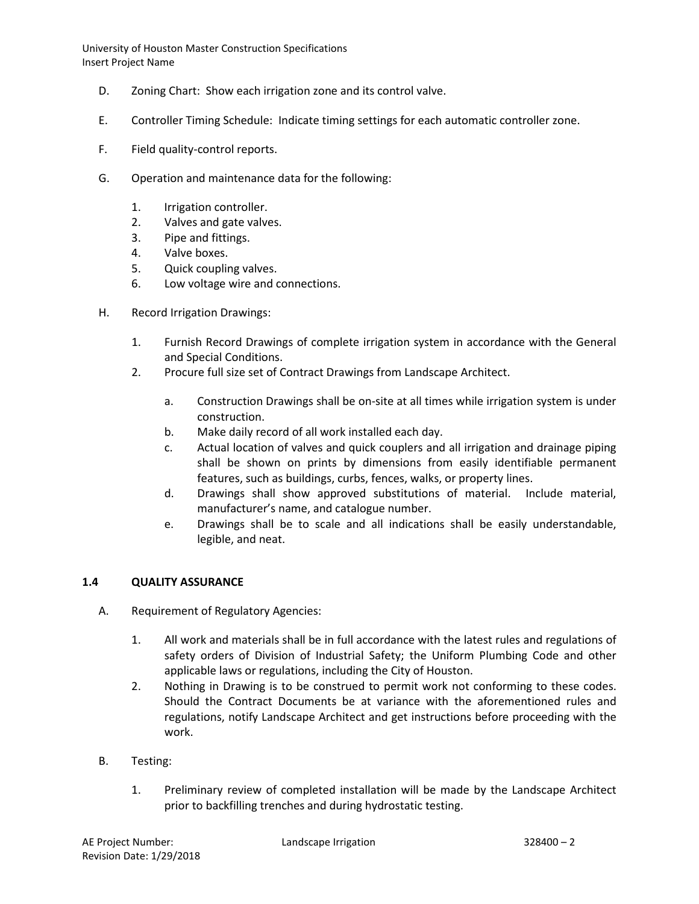- D. Zoning Chart: Show each irrigation zone and its control valve.
- E. Controller Timing Schedule: Indicate timing settings for each automatic controller zone.
- F. Field quality-control reports.
- G. Operation and maintenance data for the following:
	- 1. Irrigation controller.
	- 2. Valves and gate valves.
	- 3. Pipe and fittings.
	- 4. Valve boxes.
	- 5. Quick coupling valves.
	- 6. Low voltage wire and connections.
- H. Record Irrigation Drawings:
	- 1. Furnish Record Drawings of complete irrigation system in accordance with the General and Special Conditions.
	- 2. Procure full size set of Contract Drawings from Landscape Architect.
		- a. Construction Drawings shall be on-site at all times while irrigation system is under construction.
		- b. Make daily record of all work installed each day.
		- c. Actual location of valves and quick couplers and all irrigation and drainage piping shall be shown on prints by dimensions from easily identifiable permanent features, such as buildings, curbs, fences, walks, or property lines.
		- d. Drawings shall show approved substitutions of material. Include material, manufacturer's name, and catalogue number.
		- e. Drawings shall be to scale and all indications shall be easily understandable, legible, and neat.

## **1.4 QUALITY ASSURANCE**

- A. Requirement of Regulatory Agencies:
	- 1. All work and materials shall be in full accordance with the latest rules and regulations of safety orders of Division of Industrial Safety; the Uniform Plumbing Code and other applicable laws or regulations, including the City of Houston.
	- 2. Nothing in Drawing is to be construed to permit work not conforming to these codes. Should the Contract Documents be at variance with the aforementioned rules and regulations, notify Landscape Architect and get instructions before proceeding with the work.
- B. Testing:
	- 1. Preliminary review of completed installation will be made by the Landscape Architect prior to backfilling trenches and during hydrostatic testing.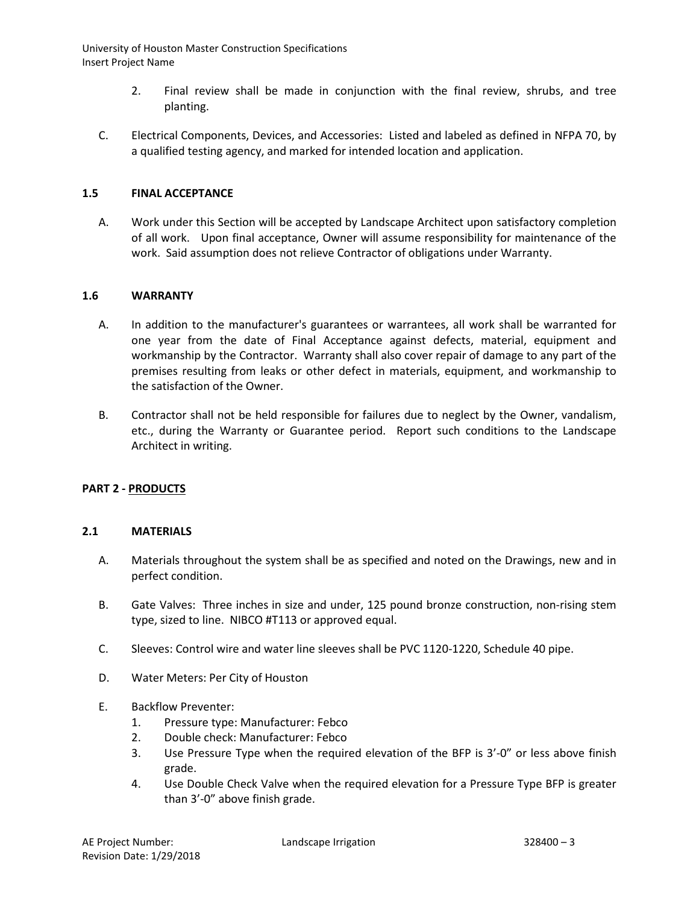- 2. Final review shall be made in conjunction with the final review, shrubs, and tree planting.
- C. Electrical Components, Devices, and Accessories: Listed and labeled as defined in NFPA 70, by a qualified testing agency, and marked for intended location and application.

#### **1.5 FINAL ACCEPTANCE**

A. Work under this Section will be accepted by Landscape Architect upon satisfactory completion of all work. Upon final acceptance, Owner will assume responsibility for maintenance of the work. Said assumption does not relieve Contractor of obligations under Warranty.

#### **1.6 WARRANTY**

- A. In addition to the manufacturer's guarantees or warrantees, all work shall be warranted for one year from the date of Final Acceptance against defects, material, equipment and workmanship by the Contractor. Warranty shall also cover repair of damage to any part of the premises resulting from leaks or other defect in materials, equipment, and workmanship to the satisfaction of the Owner.
- B. Contractor shall not be held responsible for failures due to neglect by the Owner, vandalism, etc., during the Warranty or Guarantee period. Report such conditions to the Landscape Architect in writing.

## **PART 2 - PRODUCTS**

#### **2.1 MATERIALS**

- A. Materials throughout the system shall be as specified and noted on the Drawings, new and in perfect condition.
- B. Gate Valves: Three inches in size and under, 125 pound bronze construction, non-rising stem type, sized to line. NIBCO #T113 or approved equal.
- C. Sleeves: Control wire and water line sleeves shall be PVC 1120-1220, Schedule 40 pipe.
- D. Water Meters: Per City of Houston
- E. Backflow Preventer:
	- 1. Pressure type: Manufacturer: Febco
	- 2. Double check: Manufacturer: Febco
	- 3. Use Pressure Type when the required elevation of the BFP is 3'-0" or less above finish grade.
	- 4. Use Double Check Valve when the required elevation for a Pressure Type BFP is greater than 3'-0" above finish grade.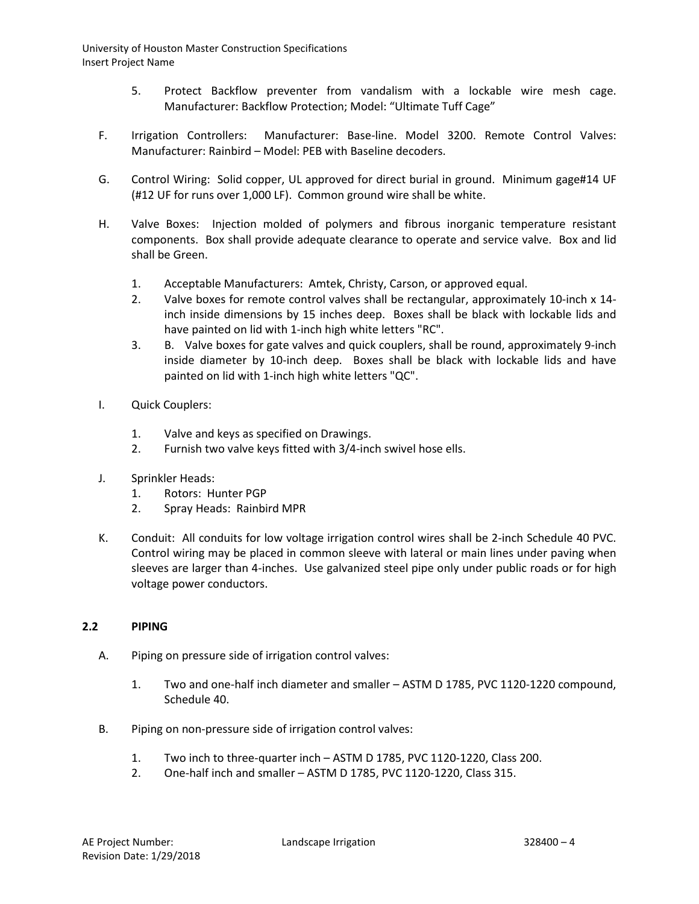- 5. Protect Backflow preventer from vandalism with a lockable wire mesh cage. Manufacturer: Backflow Protection; Model: "Ultimate Tuff Cage"
- F. Irrigation Controllers: Manufacturer: Base-line. Model 3200. Remote Control Valves: Manufacturer: Rainbird – Model: PEB with Baseline decoders.
- G. Control Wiring: Solid copper, UL approved for direct burial in ground. Minimum gage#14 UF (#12 UF for runs over 1,000 LF). Common ground wire shall be white.
- H. Valve Boxes: Injection molded of polymers and fibrous inorganic temperature resistant components. Box shall provide adequate clearance to operate and service valve. Box and lid shall be Green.
	- 1. Acceptable Manufacturers: Amtek, Christy, Carson, or approved equal.
	- 2. Valve boxes for remote control valves shall be rectangular, approximately 10-inch x 14 inch inside dimensions by 15 inches deep. Boxes shall be black with lockable lids and have painted on lid with 1-inch high white letters "RC".
	- 3. B. Valve boxes for gate valves and quick couplers, shall be round, approximately 9-inch inside diameter by 10-inch deep. Boxes shall be black with lockable lids and have painted on lid with 1-inch high white letters "QC".
- I. Quick Couplers:
	- 1. Valve and keys as specified on Drawings.
	- 2. Furnish two valve keys fitted with 3/4-inch swivel hose ells.
- J. Sprinkler Heads:
	- 1. Rotors: Hunter PGP
	- 2. Spray Heads: Rainbird MPR
- K. Conduit: All conduits for low voltage irrigation control wires shall be 2-inch Schedule 40 PVC. Control wiring may be placed in common sleeve with lateral or main lines under paving when sleeves are larger than 4-inches. Use galvanized steel pipe only under public roads or for high voltage power conductors.

## **2.2 PIPING**

- A. Piping on pressure side of irrigation control valves:
	- 1. Two and one-half inch diameter and smaller ASTM D 1785, PVC 1120-1220 compound, Schedule 40.
- B. Piping on non-pressure side of irrigation control valves:
	- 1. Two inch to three-quarter inch ASTM D 1785, PVC 1120-1220, Class 200.
	- 2. One-half inch and smaller ASTM D 1785, PVC 1120-1220, Class 315.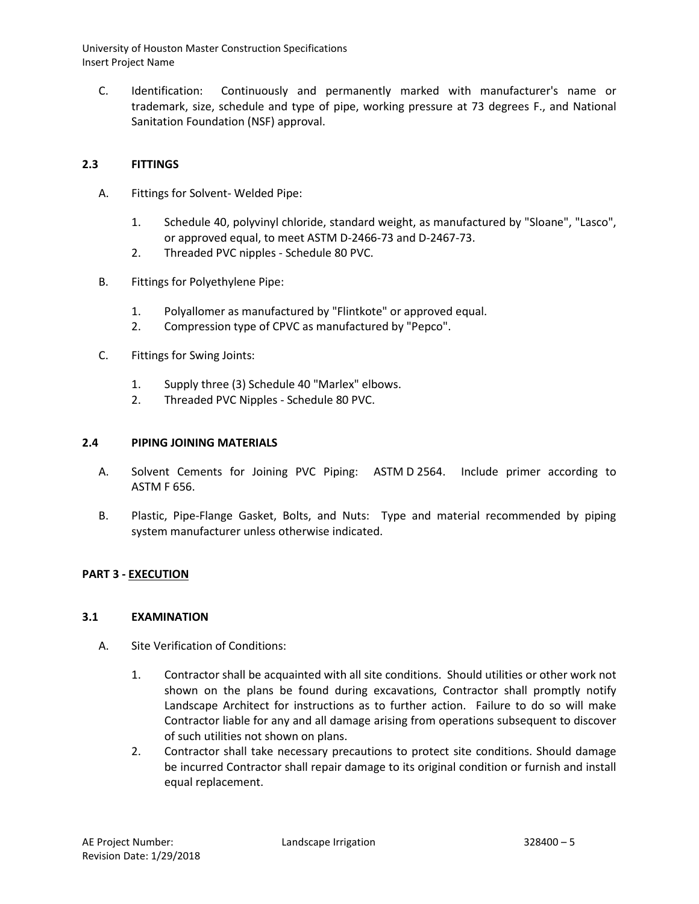C. Identification: Continuously and permanently marked with manufacturer's name or trademark, size, schedule and type of pipe, working pressure at 73 degrees F., and National Sanitation Foundation (NSF) approval.

# **2.3 FITTINGS**

- A. Fittings for Solvent- Welded Pipe:
	- 1. Schedule 40, polyvinyl chloride, standard weight, as manufactured by "Sloane", "Lasco", or approved equal, to meet ASTM D-2466-73 and D-2467-73.
	- 2. Threaded PVC nipples Schedule 80 PVC.
- B. Fittings for Polyethylene Pipe:
	- 1. Polyallomer as manufactured by "Flintkote" or approved equal.
	- 2. Compression type of CPVC as manufactured by "Pepco".
- C. Fittings for Swing Joints:
	- 1. Supply three (3) Schedule 40 "Marlex" elbows.
	- 2. Threaded PVC Nipples Schedule 80 PVC.

## **2.4 PIPING JOINING MATERIALS**

- A. Solvent Cements for Joining PVC Piping: ASTM D 2564. Include primer according to ASTM F 656.
- B. Plastic, Pipe-Flange Gasket, Bolts, and Nuts: Type and material recommended by piping system manufacturer unless otherwise indicated.

## **PART 3 - EXECUTION**

## **3.1 EXAMINATION**

- A. Site Verification of Conditions:
	- 1. Contractor shall be acquainted with all site conditions. Should utilities or other work not shown on the plans be found during excavations, Contractor shall promptly notify Landscape Architect for instructions as to further action. Failure to do so will make Contractor liable for any and all damage arising from operations subsequent to discover of such utilities not shown on plans.
	- 2. Contractor shall take necessary precautions to protect site conditions. Should damage be incurred Contractor shall repair damage to its original condition or furnish and install equal replacement.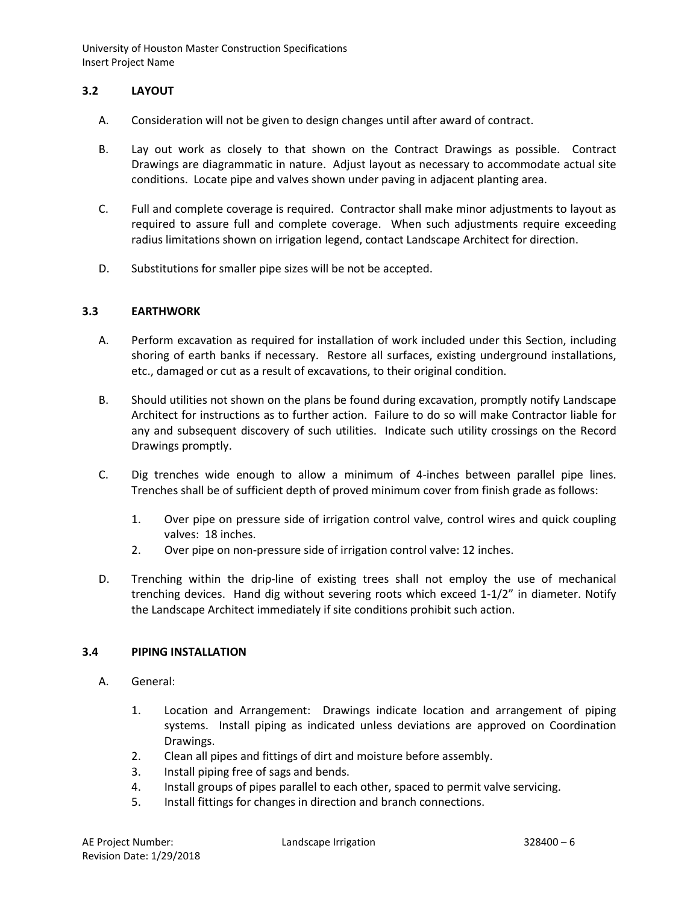# **3.2 LAYOUT**

- A. Consideration will not be given to design changes until after award of contract.
- B. Lay out work as closely to that shown on the Contract Drawings as possible. Contract Drawings are diagrammatic in nature. Adjust layout as necessary to accommodate actual site conditions. Locate pipe and valves shown under paving in adjacent planting area.
- C. Full and complete coverage is required. Contractor shall make minor adjustments to layout as required to assure full and complete coverage. When such adjustments require exceeding radius limitations shown on irrigation legend, contact Landscape Architect for direction.
- D. Substitutions for smaller pipe sizes will be not be accepted.

## **3.3 EARTHWORK**

- A. Perform excavation as required for installation of work included under this Section, including shoring of earth banks if necessary. Restore all surfaces, existing underground installations, etc., damaged or cut as a result of excavations, to their original condition.
- B. Should utilities not shown on the plans be found during excavation, promptly notify Landscape Architect for instructions as to further action. Failure to do so will make Contractor liable for any and subsequent discovery of such utilities. Indicate such utility crossings on the Record Drawings promptly.
- C. Dig trenches wide enough to allow a minimum of 4-inches between parallel pipe lines. Trenches shall be of sufficient depth of proved minimum cover from finish grade as follows:
	- 1. Over pipe on pressure side of irrigation control valve, control wires and quick coupling valves: 18 inches.
	- 2. Over pipe on non-pressure side of irrigation control valve: 12 inches.
- D. Trenching within the drip-line of existing trees shall not employ the use of mechanical trenching devices. Hand dig without severing roots which exceed 1-1/2" in diameter. Notify the Landscape Architect immediately if site conditions prohibit such action.

## **3.4 PIPING INSTALLATION**

- A. General:
	- 1. Location and Arrangement: Drawings indicate location and arrangement of piping systems. Install piping as indicated unless deviations are approved on Coordination Drawings.
	- 2. Clean all pipes and fittings of dirt and moisture before assembly.
	- 3. Install piping free of sags and bends.
	- 4. Install groups of pipes parallel to each other, spaced to permit valve servicing.
	- 5. Install fittings for changes in direction and branch connections.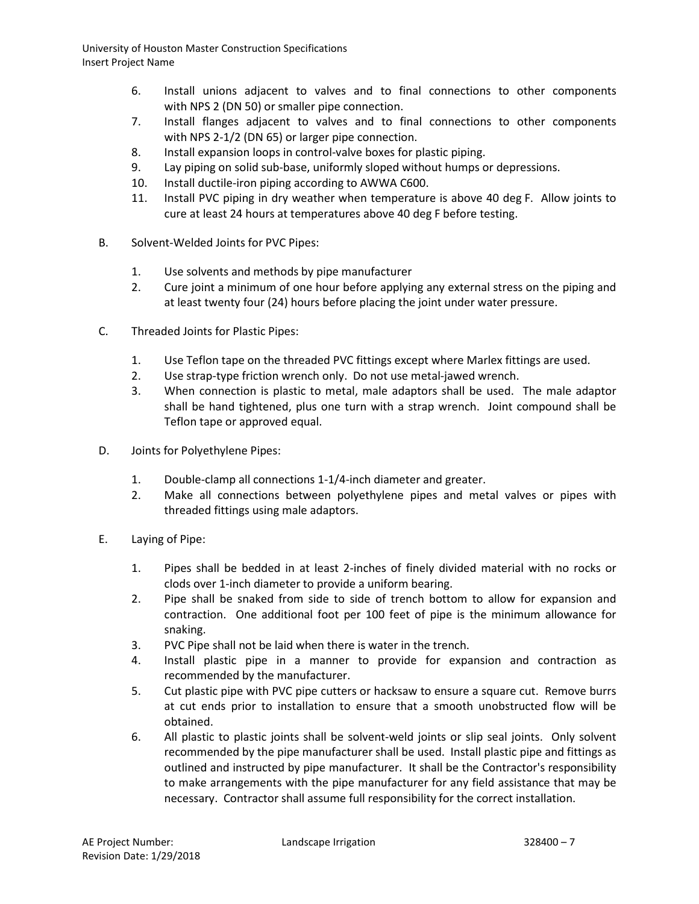- 6. Install unions adjacent to valves and to final connections to other components with NPS 2 (DN 50) or smaller pipe connection.
- 7. Install flanges adjacent to valves and to final connections to other components with NPS 2-1/2 (DN 65) or larger pipe connection.
- 8. Install expansion loops in control-valve boxes for plastic piping.
- 9. Lay piping on solid sub-base, uniformly sloped without humps or depressions.
- 10. Install ductile-iron piping according to AWWA C600.
- 11. Install PVC piping in dry weather when temperature is above 40 deg F. Allow joints to cure at least 24 hours at temperatures above 40 deg F before testing.
- B. Solvent-Welded Joints for PVC Pipes:
	- 1. Use solvents and methods by pipe manufacturer
	- 2. Cure joint a minimum of one hour before applying any external stress on the piping and at least twenty four (24) hours before placing the joint under water pressure.
- C. Threaded Joints for Plastic Pipes:
	- 1. Use Teflon tape on the threaded PVC fittings except where Marlex fittings are used.
	- 2. Use strap-type friction wrench only. Do not use metal-jawed wrench.
	- 3. When connection is plastic to metal, male adaptors shall be used. The male adaptor shall be hand tightened, plus one turn with a strap wrench. Joint compound shall be Teflon tape or approved equal.
- D. Joints for Polyethylene Pipes:
	- 1. Double-clamp all connections 1-1/4-inch diameter and greater.
	- 2. Make all connections between polyethylene pipes and metal valves or pipes with threaded fittings using male adaptors.
- E. Laying of Pipe:
	- 1. Pipes shall be bedded in at least 2-inches of finely divided material with no rocks or clods over 1-inch diameter to provide a uniform bearing.
	- 2. Pipe shall be snaked from side to side of trench bottom to allow for expansion and contraction. One additional foot per 100 feet of pipe is the minimum allowance for snaking.
	- 3. PVC Pipe shall not be laid when there is water in the trench.
	- 4. Install plastic pipe in a manner to provide for expansion and contraction as recommended by the manufacturer.
	- 5. Cut plastic pipe with PVC pipe cutters or hacksaw to ensure a square cut. Remove burrs at cut ends prior to installation to ensure that a smooth unobstructed flow will be obtained.
	- 6. All plastic to plastic joints shall be solvent-weld joints or slip seal joints. Only solvent recommended by the pipe manufacturer shall be used. Install plastic pipe and fittings as outlined and instructed by pipe manufacturer. It shall be the Contractor's responsibility to make arrangements with the pipe manufacturer for any field assistance that may be necessary. Contractor shall assume full responsibility for the correct installation.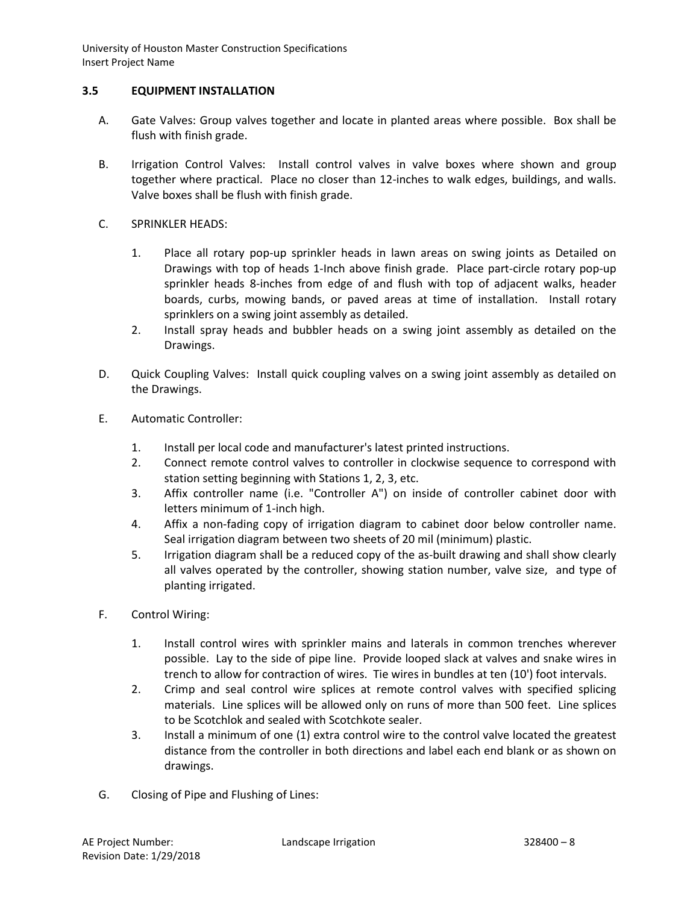# **3.5 EQUIPMENT INSTALLATION**

- A. Gate Valves: Group valves together and locate in planted areas where possible. Box shall be flush with finish grade.
- B. Irrigation Control Valves: Install control valves in valve boxes where shown and group together where practical. Place no closer than 12-inches to walk edges, buildings, and walls. Valve boxes shall be flush with finish grade.
- C. SPRINKLER HEADS:
	- 1. Place all rotary pop-up sprinkler heads in lawn areas on swing joints as Detailed on Drawings with top of heads 1-Inch above finish grade. Place part-circle rotary pop-up sprinkler heads 8-inches from edge of and flush with top of adjacent walks, header boards, curbs, mowing bands, or paved areas at time of installation. Install rotary sprinklers on a swing joint assembly as detailed.
	- 2. Install spray heads and bubbler heads on a swing joint assembly as detailed on the Drawings.
- D. Quick Coupling Valves: Install quick coupling valves on a swing joint assembly as detailed on the Drawings.
- E. Automatic Controller:
	- 1. Install per local code and manufacturer's latest printed instructions.
	- 2. Connect remote control valves to controller in clockwise sequence to correspond with station setting beginning with Stations 1, 2, 3, etc.
	- 3. Affix controller name (i.e. "Controller A") on inside of controller cabinet door with letters minimum of 1-inch high.
	- 4. Affix a non-fading copy of irrigation diagram to cabinet door below controller name. Seal irrigation diagram between two sheets of 20 mil (minimum) plastic.
	- 5. Irrigation diagram shall be a reduced copy of the as-built drawing and shall show clearly all valves operated by the controller, showing station number, valve size, and type of planting irrigated.
- F. Control Wiring:
	- 1. Install control wires with sprinkler mains and laterals in common trenches wherever possible. Lay to the side of pipe line. Provide looped slack at valves and snake wires in trench to allow for contraction of wires. Tie wires in bundles at ten (10') foot intervals.
	- 2. Crimp and seal control wire splices at remote control valves with specified splicing materials. Line splices will be allowed only on runs of more than 500 feet. Line splices to be Scotchlok and sealed with Scotchkote sealer.
	- 3. Install a minimum of one (1) extra control wire to the control valve located the greatest distance from the controller in both directions and label each end blank or as shown on drawings.
- G. Closing of Pipe and Flushing of Lines: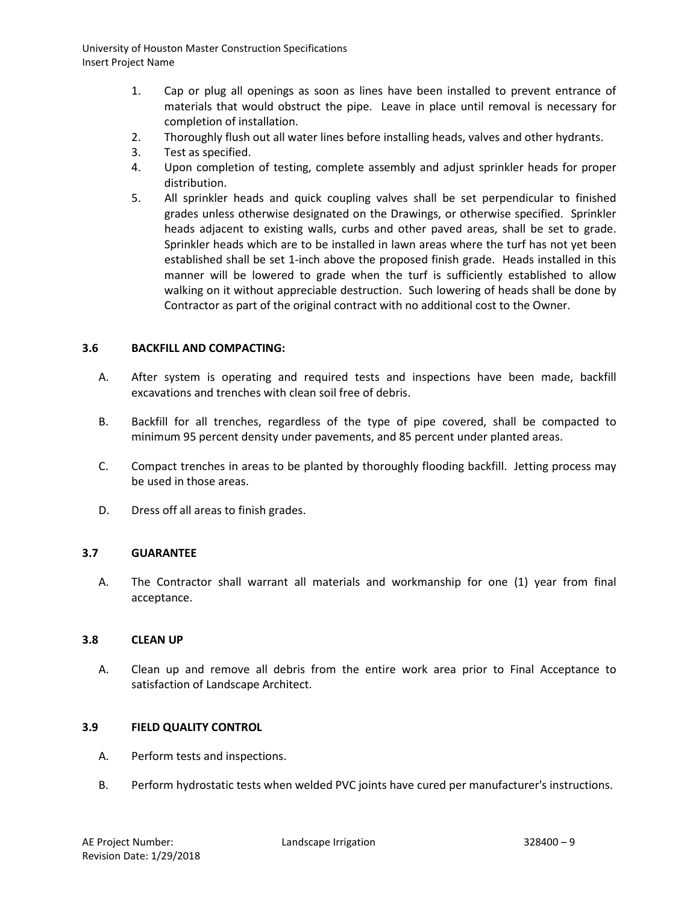- 1. Cap or plug all openings as soon as lines have been installed to prevent entrance of materials that would obstruct the pipe. Leave in place until removal is necessary for completion of installation.
- 2. Thoroughly flush out all water lines before installing heads, valves and other hydrants.
- 3. Test as specified.
- 4. Upon completion of testing, complete assembly and adjust sprinkler heads for proper distribution.
- 5. All sprinkler heads and quick coupling valves shall be set perpendicular to finished grades unless otherwise designated on the Drawings, or otherwise specified. Sprinkler heads adjacent to existing walls, curbs and other paved areas, shall be set to grade. Sprinkler heads which are to be installed in lawn areas where the turf has not yet been established shall be set 1-inch above the proposed finish grade. Heads installed in this manner will be lowered to grade when the turf is sufficiently established to allow walking on it without appreciable destruction. Such lowering of heads shall be done by Contractor as part of the original contract with no additional cost to the Owner.

## **3.6 BACKFILL AND COMPACTING:**

- A. After system is operating and required tests and inspections have been made, backfill excavations and trenches with clean soil free of debris.
- B. Backfill for all trenches, regardless of the type of pipe covered, shall be compacted to minimum 95 percent density under pavements, and 85 percent under planted areas.
- C. Compact trenches in areas to be planted by thoroughly flooding backfill. Jetting process may be used in those areas.
- D. Dress off all areas to finish grades.

## **3.7 GUARANTEE**

A. The Contractor shall warrant all materials and workmanship for one (1) year from final acceptance.

#### **3.8 CLEAN UP**

A. Clean up and remove all debris from the entire work area prior to Final Acceptance to satisfaction of Landscape Architect.

## **3.9 FIELD QUALITY CONTROL**

- A. Perform tests and inspections.
- B. Perform hydrostatic tests when welded PVC joints have cured per manufacturer's instructions.